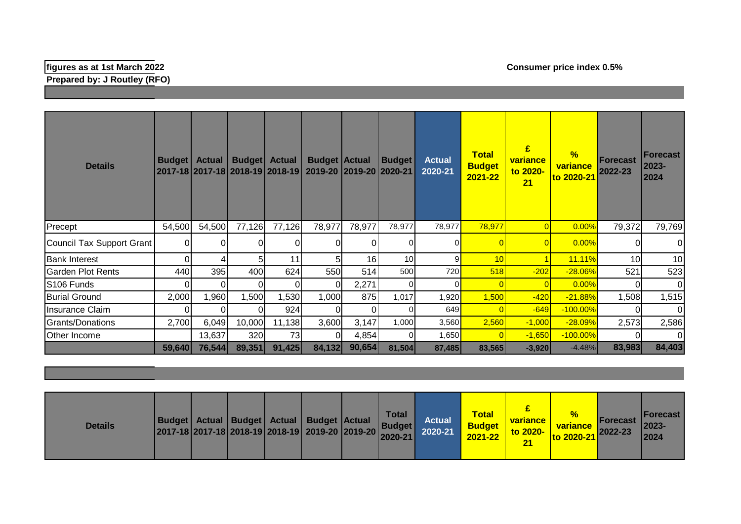**Prepared by: J Routley (RFO)**

| <b>Details</b>            |          | <b>Budget   Actual</b> | Budget   Actual<br>2017-18 2017-18 2018-19 2018-19 |        | <b>Budget Actual</b><br>2019-20 2019-20 2020-21 |        | <b>Budget</b>   | <b>Actual</b><br>2020-21 | <b>Total</b><br><b>Budget</b><br>$2021 - 22$ | £<br><b>variance</b><br>to 2020-<br>21 | $\frac{9}{6}$<br><b>variance</b><br>to 2020-21 | <b>Forecast</b><br>2022-23 | <b>Forecast</b><br>2023-<br>2024 |
|---------------------------|----------|------------------------|----------------------------------------------------|--------|-------------------------------------------------|--------|-----------------|--------------------------|----------------------------------------------|----------------------------------------|------------------------------------------------|----------------------------|----------------------------------|
| Precept                   | 54,500   | 54,500                 | 77,126                                             | 77,126 | 78,977                                          | 78,977 | 78,977          | 78,977                   | 78,977                                       |                                        | 0.00%                                          | 79,372                     | 79,769                           |
| Council Tax Support Grant | $\Omega$ | ΩI                     |                                                    | 0      |                                                 | 0      |                 | 0                        |                                              | $\overline{0}$                         | 0.00%                                          | $\Omega$                   | $\Omega$                         |
| <b>Bank Interest</b>      | 0        | 4                      | 51                                                 | 11     | 5 <sub>l</sub>                                  | 16     | 10 <sup>1</sup> | 9                        | 10                                           |                                        | <b>11.11%</b>                                  | 10 <sup>1</sup>            | 10                               |
| <b>Garden Plot Rents</b>  | 440      | 395                    | 400                                                | 624    | 550                                             | 514    | 500             | 720                      | 518                                          | $-202$                                 | $-28.06%$                                      | 521                        | 523                              |
| S106 Funds                | 0        | ΩI                     | ΩI                                                 |        | ΩI                                              | 2,271  |                 |                          |                                              |                                        | 0.00%                                          |                            | $\overline{0}$                   |
| <b>Burial Ground</b>      | 2,000    | 1,960                  | 1,500                                              | 1,530  | 1,000                                           | 875    | 1,017           | 1,920                    | 1,500                                        | $-420$                                 | $-21.88%$                                      | 1,508                      | 1,515                            |
| Insurance Claim           |          |                        |                                                    | 924    |                                                 | 0      |                 | 649                      |                                              | $-649$                                 | $-100.00\%$                                    |                            | 0                                |
| Grants/Donations          | 2,700    | 6,049                  | 10,000                                             | 11,138 | 3,600                                           | 3,147  | 1,000           | 3,560                    | 2,560                                        | $-1,000$                               | $-28.09%$                                      | 2,573                      | 2,586                            |
| <b>Other Income</b>       |          | 13,637                 | 320                                                | 73     | ΩI                                              | 4,854  |                 | 1,650 $ $                |                                              | $-1,650$                               | $-100.00\%$                                    |                            | $\overline{0}$                   |
|                           | 59,640   | 76,544                 | 89,351                                             | 91,425 | 84,132                                          | 90,654 | 81,504          | 87,485                   | 83,565                                       | $-3,920$                               | $-4.48%$                                       | 83,983                     | 84,403                           |

| <b>Details</b> |  |  |  |  | Budget   Actual   Budget   Actual   Budget   Actual  <br>2017-18 2017-18 2018-19 2018-19 2019-20 2019-20 2020-21 |  | <b>Total</b> | <b>Actual</b><br>2020-21 | <b>Total</b><br><b>Budget</b><br>2021-22 | variance<br>to 2020-<br>21 | variance<br>to 2020-21 | <b>IForecast</b><br>$2022 - 23$ | <b>IForecast</b><br>2023-<br>2024 |
|----------------|--|--|--|--|------------------------------------------------------------------------------------------------------------------|--|--------------|--------------------------|------------------------------------------|----------------------------|------------------------|---------------------------------|-----------------------------------|
|----------------|--|--|--|--|------------------------------------------------------------------------------------------------------------------|--|--------------|--------------------------|------------------------------------------|----------------------------|------------------------|---------------------------------|-----------------------------------|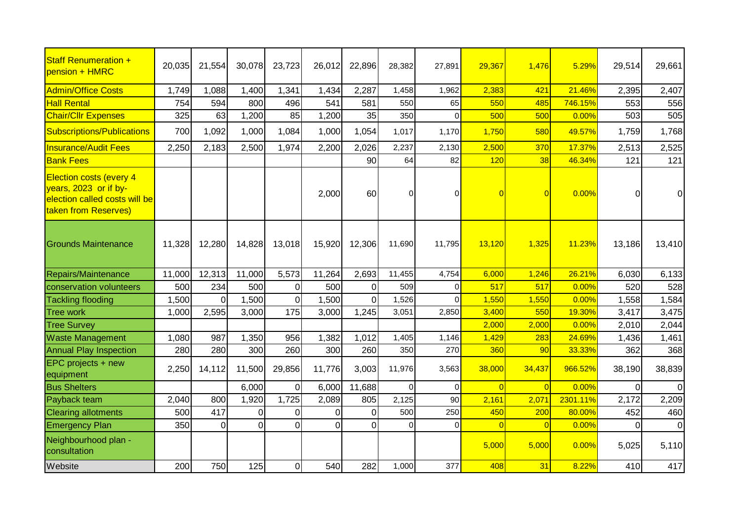| <b>Staff Renumeration +</b><br>pension + HMRC                                                                    | 20,035 | 21,554   | 30,078         | 23,723         | 26,012   | 22,896         | 28,382   | 27,891         | 29,367         | 1,476          | 5.29%    | 29,514   | 29,661   |
|------------------------------------------------------------------------------------------------------------------|--------|----------|----------------|----------------|----------|----------------|----------|----------------|----------------|----------------|----------|----------|----------|
| <b>Admin/Office Costs</b>                                                                                        | 1,749  | 1,088    | 1,400          | 1,341          | 1,434    | 2,287          | 1,458    | 1,962          | 2,383          | 421            | 21.46%   | 2,395    | 2,407    |
| <b>Hall Rental</b>                                                                                               | 754    | 594      | 800            | 496            | 541      | 581            | 550      | 65             | 550            | 485            | 746.15%  | 553      | 556      |
| <b>Chair/Cllr Expenses</b>                                                                                       | 325    | 63       | 1,200          | 85             | 1,200    | 35             | 350      | $\overline{0}$ | 500            | 500            | 0.00%    | 503      | 505      |
| Subscriptions/Publications                                                                                       | 700    | 1,092    | 1,000          | 1,084          | 1,000    | 1,054          | 1,017    | 1,170          | 1,750          | 580            | 49.57%   | 1,759    | 1,768    |
| <b>Insurance/Audit Fees</b>                                                                                      | 2,250  | 2,183    | 2,500          | 1,974          | 2,200    | 2,026          | 2,237    | 2,130          | 2,500          | 370            | 17.37%   | 2,513    | 2,525    |
| <b>Bank Fees</b>                                                                                                 |        |          |                |                |          | 90             | 64       | 82             | 120            | 38             | 46.34%   | 121      | 121      |
| <b>Election costs (every 4</b><br>years, 2023 or if by-<br>election called costs will be<br>taken from Reserves) |        |          |                |                | 2,000    | 60             | $\Omega$ | $\overline{O}$ | $\overline{0}$ | $\overline{0}$ | 0.00%    | $\Omega$ | $\Omega$ |
| <b>Grounds Maintenance</b>                                                                                       | 11,328 | 12,280   | 14,828         | 13,018         | 15,920   | 12,306         | 11,690   | 11,795         | 13,120         | 1,325          | 11.23%   | 13,186   | 13,410   |
| Repairs/Maintenance                                                                                              | 11,000 | 12,313   | 11,000         | 5,573          | 11,264   | 2,693          | 11,455   | 4,754          | 6,000          | 1,246          | 26.21%   | 6,030    | 6,133    |
| conservation volunteers                                                                                          | 500    | 234      | 500            | $\mathbf 0$    | 500      | $\overline{0}$ | 509      | $\overline{O}$ | 517            | 517            | 0.00%    | 520      | 528      |
| <b>Tackling flooding</b>                                                                                         | 1,500  | $\Omega$ | 1,500          | 0              | 1,500    | $\overline{0}$ | 1,526    | $\Omega$       | 1,550          | 1,550          | 0.00%    | 1,558    | 1,584    |
| <b>Tree work</b>                                                                                                 | 1,000  | 2,595    | 3,000          | 175            | 3,000    | 1,245          | 3,051    | 2,850          | 3,400          | 550            | 19.30%   | 3,417    | 3,475    |
| <b>Tree Survey</b>                                                                                               |        |          |                |                |          |                |          |                | 2,000          | 2,000          | 0.00%    | 2,010    | 2,044    |
| <b>Waste Management</b>                                                                                          | 1,080  | 987      | 1,350          | 956            | 1,382    | 1,012          | 1,405    | 1,146          | 1,429          | 283            | 24.69%   | 1,436    | 1,461    |
| <b>Annual Play Inspection</b>                                                                                    | 280    | 280      | 300            | 260            | 300      | 260            | 350      | 270            | 360            | 90             | 33.33%   | 362      | 368      |
| EPC projects + new<br>equipment                                                                                  | 2,250  | 14,112   | 11,500         | 29,856         | 11,776   | 3,003          | 11,976   | 3,563          | 38,000         | 34,437         | 966.52%  | 38,190   | 38,839   |
| <b>Bus Shelters</b>                                                                                              |        |          | 6,000          | $\Omega$       | 6,000    | 11,688         | $\Omega$ | $\Omega$       | $\Omega$       | $\overline{0}$ | 0.00%    | $\Omega$ | $\Omega$ |
| Payback team                                                                                                     | 2,040  | 800      | 1,920          | 1,725          | 2,089    | 805            | 2,125    | 90             | 2,161          | 2,071          | 2301.11% | 2,172    | 2,209    |
| <b>Clearing allotments</b>                                                                                       | 500    | 417      | $\overline{0}$ | $\Omega$       | $\Omega$ | $\overline{0}$ | 500      | 250            | 450            | 200            | 80.00%   | 452      | 460      |
| <b>Emergency Plan</b>                                                                                            | 350    | $\Omega$ | $\Omega$       | $\overline{0}$ | $\Omega$ | $\overline{O}$ | $\Omega$ | $\Omega$       | $\overline{0}$ | $\overline{0}$ | 0.00%    | $\Omega$ | $\Omega$ |
| Neighbourhood plan -<br>consultation                                                                             |        |          |                |                |          |                |          |                | 5,000          | 5,000          | 0.00%    | 5,025    | 5,110    |
| Website                                                                                                          | 200    | 750      | 125            | $\overline{0}$ | 540      | 282            | 1,000    | 377            | 408            | 31             | 8.22%    | 410      | 417      |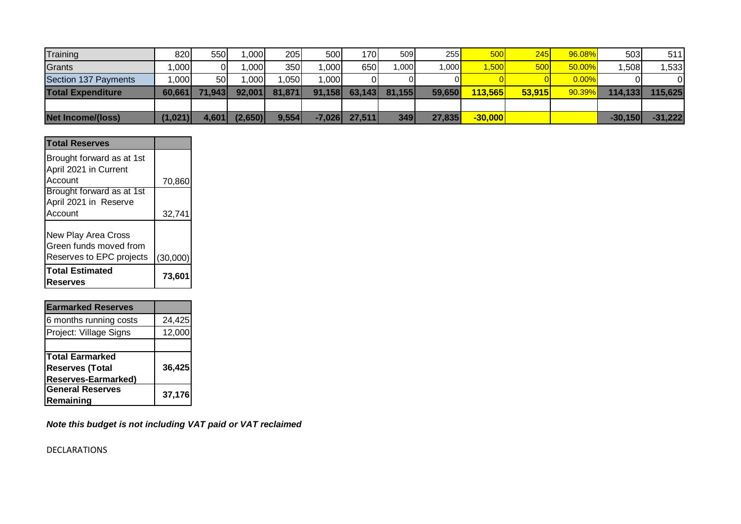| Training                 | 8201    | 550     | .000 <sub>1</sub> | 205    | 500      | 170    | 509    | 255    | <b>5001</b>        | 245    | 96.08%      | 503       | 511       |
|--------------------------|---------|---------|-------------------|--------|----------|--------|--------|--------|--------------------|--------|-------------|-----------|-----------|
| Grants                   | ,000    |         | .000 <sub>1</sub> | 350l   | ,000     | 650    | ,000   | .000l  | 1.500 <sup>1</sup> | 500    | $ 50.00\% $ | 1,508     | 1,533     |
| Section 137 Payments     | ,000    | 50I     | ,000              | .050   | ,000     |        |        |        |                    |        | $ 0.00\% $  |           | 0         |
| <b>Total Expenditure</b> | 60.661  | 71.9431 | 92.001            | 81.871 | 91,158   | 63.143 | 81,155 | 59,650 | <b>113.565</b>     | 53,915 | $90.39\%$   | 114.133   | 115,625   |
|                          |         |         |                   |        |          |        |        |        |                    |        |             |           |           |
| <b>Net Income/(loss)</b> | (1,021) | 4,601   | (2,650)           | 9,554  | $-7.026$ | 27,511 | 349    | 27,835 | $-30,000$          |        |             | $-30.150$ | $-31,222$ |

| <b>Total Reserves</b>                                                     |          |
|---------------------------------------------------------------------------|----------|
| Brought forward as at 1st<br>April 2021 in Current                        |          |
| Account                                                                   | 70,860   |
| Brought forward as at 1st<br>April 2021 in Reserve                        |          |
| Account                                                                   | 32,741   |
| New Play Area Cross<br>Green funds moved from<br>Reserves to EPC projects | (30,000) |
| <b>Total Estimated</b><br>Reserves                                        | 73,601   |

| <b>Earmarked Reserves</b>  |        |
|----------------------------|--------|
| 6 months running costs     | 24,425 |
| Project: Village Signs     | 12,000 |
|                            |        |
| Total Earmarked            |        |
| <b>Reserves (Total</b>     | 36,425 |
| <b>Reserves-Earmarked)</b> |        |
| <b>General Reserves</b>    | 37,176 |
| Remaining                  |        |

*Note this budget is not including VAT paid or VAT reclaimed*

DECLARATIONS